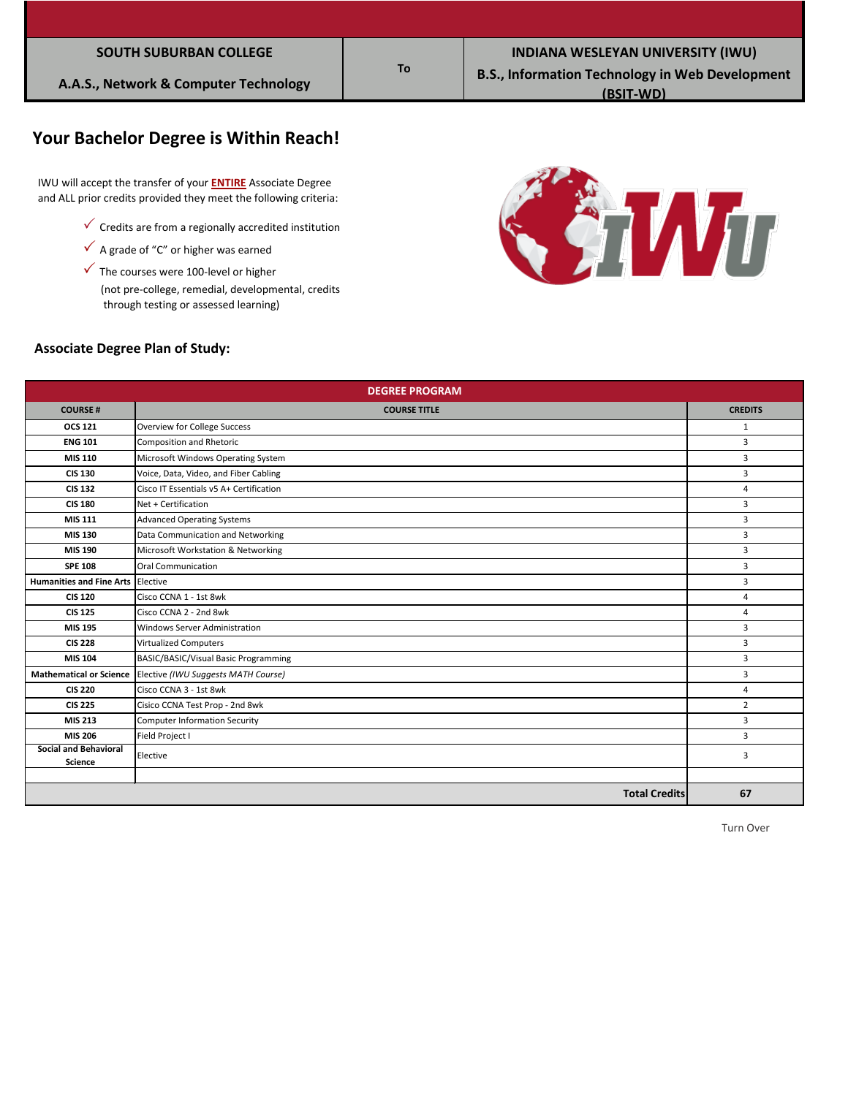| <b>SOUTH SUBURBAN COLLEGE</b> |  |
|-------------------------------|--|
|                               |  |

## **Your Bachelor Degree is Within Reach!**

 IWU will accept the transfer of your **ENTIRE** Associate Degree and ALL prior credits provided they meet the following criteria:

- $\checkmark$  Credits are from a regionally accredited institution
- $\checkmark$  A grade of "C" or higher was earned
- $\checkmark$  The courses were 100-level or higher

 (not pre-college, remedial, developmental, credits through testing or assessed learning)



### **Associate Degree Plan of Study:**

| <b>DEGREE PROGRAM</b>                          |                                         |                |  |  |
|------------------------------------------------|-----------------------------------------|----------------|--|--|
| <b>COURSE#</b>                                 | <b>COURSE TITLE</b>                     | <b>CREDITS</b> |  |  |
| <b>OCS 121</b>                                 | Overview for College Success            | 1              |  |  |
| <b>ENG 101</b>                                 | <b>Composition and Rhetoric</b>         | 3              |  |  |
| MIS 110                                        | Microsoft Windows Operating System      | 3              |  |  |
| <b>CIS 130</b>                                 | Voice, Data, Video, and Fiber Cabling   | 3              |  |  |
| <b>CIS 132</b>                                 | Cisco IT Essentials v5 A+ Certification | 4              |  |  |
| <b>CIS 180</b>                                 | Net + Certification                     | $\overline{3}$ |  |  |
| <b>MIS 111</b>                                 | <b>Advanced Operating Systems</b>       | 3              |  |  |
| MIS 130                                        | Data Communication and Networking       | 3              |  |  |
| MIS 190                                        | Microsoft Workstation & Networking      | 3              |  |  |
| <b>SPE 108</b>                                 | Oral Communication                      | 3              |  |  |
| Humanities and Fine Arts Elective              |                                         | 3              |  |  |
| <b>CIS 120</b>                                 | Cisco CCNA 1 - 1st 8wk                  | 4              |  |  |
| <b>CIS 125</b>                                 | Cisco CCNA 2 - 2nd 8wk                  | 4              |  |  |
| MIS 195                                        | <b>Windows Server Administration</b>    | 3              |  |  |
| <b>CIS 228</b>                                 | <b>Virtualized Computers</b>            | 3              |  |  |
| MIS 104                                        | BASIC/BASIC/Visual Basic Programming    | 3              |  |  |
| <b>Mathematical or Science</b>                 | Elective (IWU Suggests MATH Course)     | 3              |  |  |
| <b>CIS 220</b>                                 | Cisco CCNA 3 - 1st 8wk                  | $\overline{4}$ |  |  |
| <b>CIS 225</b>                                 | Cisico CCNA Test Prop - 2nd 8wk         | $\overline{2}$ |  |  |
| MIS 213                                        | <b>Computer Information Security</b>    | 3              |  |  |
| MIS 206                                        | Field Project I                         | 3              |  |  |
| <b>Social and Behavioral</b><br><b>Science</b> | Elective                                | 3              |  |  |
|                                                |                                         |                |  |  |
|                                                | <b>Total Credits</b>                    | 67             |  |  |

**To**